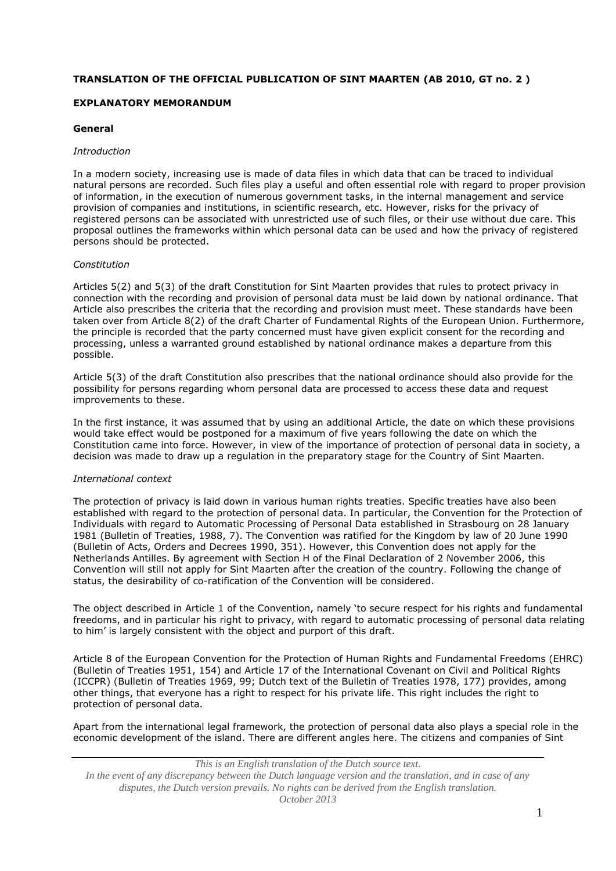## **TRANSLATION OF THE OFFICIAL PUBLICATION OF SINT MAARTEN (AB 2010, GT no. 2 )**

## **EXPLANATORY MEMORANDUM**

### **General**

#### *Introduction*

In a modern society, increasing use is made of data files in which data that can be traced to individual natural persons are recorded. Such files play a useful and often essential role with regard to proper provision of information, in the execution of numerous government tasks, in the internal management and service provision of companies and institutions, in scientific research, etc. However, risks for the privacy of registered persons can be associated with unrestricted use of such files, or their use without due care. This proposal outlines the frameworks within which personal data can be used and how the privacy of registered persons should be protected.

#### *Constitution*

Articles 5(2) and 5(3) of the draft Constitution for Sint Maarten provides that rules to protect privacy in connection with the recording and provision of personal data must be laid down by national ordinance. That Article also prescribes the criteria that the recording and provision must meet. These standards have been taken over from Article 8(2) of the draft Charter of Fundamental Rights of the European Union. Furthermore, the principle is recorded that the party concerned must have given explicit consent for the recording and processing, unless a warranted ground established by national ordinance makes a departure from this possible.

Article 5(3) of the draft Constitution also prescribes that the national ordinance should also provide for the possibility for persons regarding whom personal data are processed to access these data and request improvements to these.

In the first instance, it was assumed that by using an additional Article, the date on which these provisions would take effect would be postponed for a maximum of five years following the date on which the Constitution came into force. However, in view of the importance of protection of personal data in society, a decision was made to draw up a regulation in the preparatory stage for the Country of Sint Maarten.

#### *International context*

The protection of privacy is laid down in various human rights treaties. Specific treaties have also been established with regard to the protection of personal data. In particular, the Convention for the Protection of Individuals with regard to Automatic Processing of Personal Data established in Strasbourg on 28 January 1981 (Bulletin of Treaties, 1988, 7). The Convention was ratified for the Kingdom by law of 20 June 1990 (Bulletin of Acts, Orders and Decrees 1990, 351). However, this Convention does not apply for the Netherlands Antilles. By agreement with Section H of the Final Declaration of 2 November 2006, this Convention will still not apply for Sint Maarten after the creation of the country. Following the change of status, the desirability of co-ratification of the Convention will be considered.

The object described in Article 1 of the Convention, namely 'to secure respect for his rights and fundamental freedoms, and in particular his right to privacy, with regard to automatic processing of personal data relating to him' is largely consistent with the object and purport of this draft.

Article 8 of the European Convention for the Protection of Human Rights and Fundamental Freedoms (EHRC) (Bulletin of Treaties 1951, 154) and Article 17 of the International Covenant on Civil and Political Rights (ICCPR) (Bulletin of Treaties 1969, 99; Dutch text of the Bulletin of Treaties 1978, 177) provides, among other things, that everyone has a right to respect for his private life. This right includes the right to protection of personal data.

Apart from the international legal framework, the protection of personal data also plays a special role in the economic development of the island. There are different angles here. The citizens and companies of Sint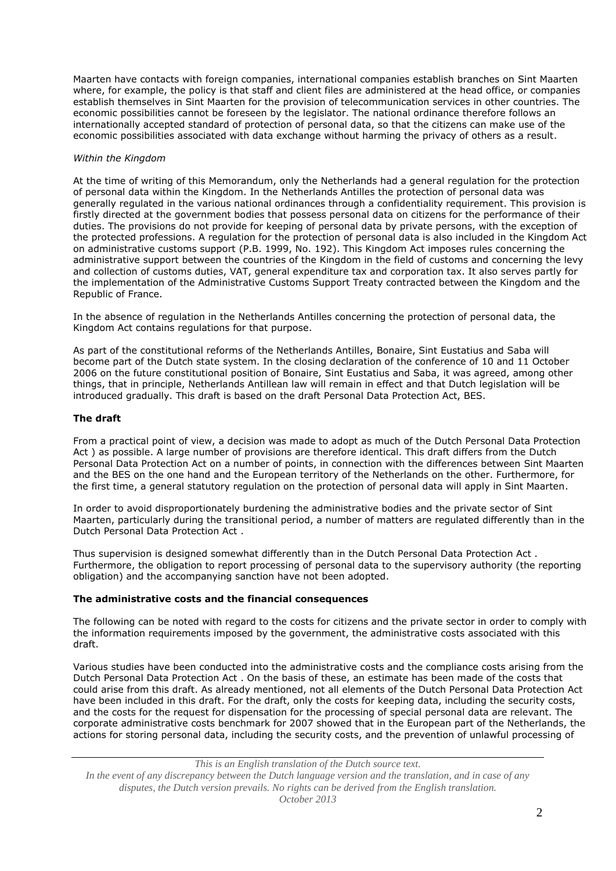Maarten have contacts with foreign companies, international companies establish branches on Sint Maarten where, for example, the policy is that staff and client files are administered at the head office, or companies establish themselves in Sint Maarten for the provision of telecommunication services in other countries. The economic possibilities cannot be foreseen by the legislator. The national ordinance therefore follows an internationally accepted standard of protection of personal data, so that the citizens can make use of the economic possibilities associated with data exchange without harming the privacy of others as a result.

### *Within the Kingdom*

At the time of writing of this Memorandum, only the Netherlands had a general regulation for the protection of personal data within the Kingdom. In the Netherlands Antilles the protection of personal data was generally regulated in the various national ordinances through a confidentiality requirement. This provision is firstly directed at the government bodies that possess personal data on citizens for the performance of their duties. The provisions do not provide for keeping of personal data by private persons, with the exception of the protected professions. A regulation for the protection of personal data is also included in the Kingdom Act on administrative customs support (P.B. 1999, No. 192). This Kingdom Act imposes rules concerning the administrative support between the countries of the Kingdom in the field of customs and concerning the levy and collection of customs duties, VAT, general expenditure tax and corporation tax. It also serves partly for the implementation of the Administrative Customs Support Treaty contracted between the Kingdom and the Republic of France.

In the absence of regulation in the Netherlands Antilles concerning the protection of personal data, the Kingdom Act contains regulations for that purpose.

As part of the constitutional reforms of the Netherlands Antilles, Bonaire, Sint Eustatius and Saba will become part of the Dutch state system. In the closing declaration of the conference of 10 and 11 October 2006 on the future constitutional position of Bonaire, Sint Eustatius and Saba, it was agreed, among other things, that in principle, Netherlands Antillean law will remain in effect and that Dutch legislation will be introduced gradually. This draft is based on the draft Personal Data Protection Act, BES.

# **The draft**

From a practical point of view, a decision was made to adopt as much of the Dutch Personal Data Protection Act ) as possible. A large number of provisions are therefore identical. This draft differs from the Dutch Personal Data Protection Act on a number of points, in connection with the differences between Sint Maarten and the BES on the one hand and the European territory of the Netherlands on the other. Furthermore, for the first time, a general statutory regulation on the protection of personal data will apply in Sint Maarten.

In order to avoid disproportionately burdening the administrative bodies and the private sector of Sint Maarten, particularly during the transitional period, a number of matters are regulated differently than in the Dutch Personal Data Protection Act .

Thus supervision is designed somewhat differently than in the Dutch Personal Data Protection Act . Furthermore, the obligation to report processing of personal data to the supervisory authority (the reporting obligation) and the accompanying sanction have not been adopted.

### **The administrative costs and the financial consequences**

The following can be noted with regard to the costs for citizens and the private sector in order to comply with the information requirements imposed by the government, the administrative costs associated with this draft.

Various studies have been conducted into the administrative costs and the compliance costs arising from the Dutch Personal Data Protection Act . On the basis of these, an estimate has been made of the costs that could arise from this draft. As already mentioned, not all elements of the Dutch Personal Data Protection Act have been included in this draft. For the draft, only the costs for keeping data, including the security costs, and the costs for the request for dispensation for the processing of special personal data are relevant. The corporate administrative costs benchmark for 2007 showed that in the European part of the Netherlands, the actions for storing personal data, including the security costs, and the prevention of unlawful processing of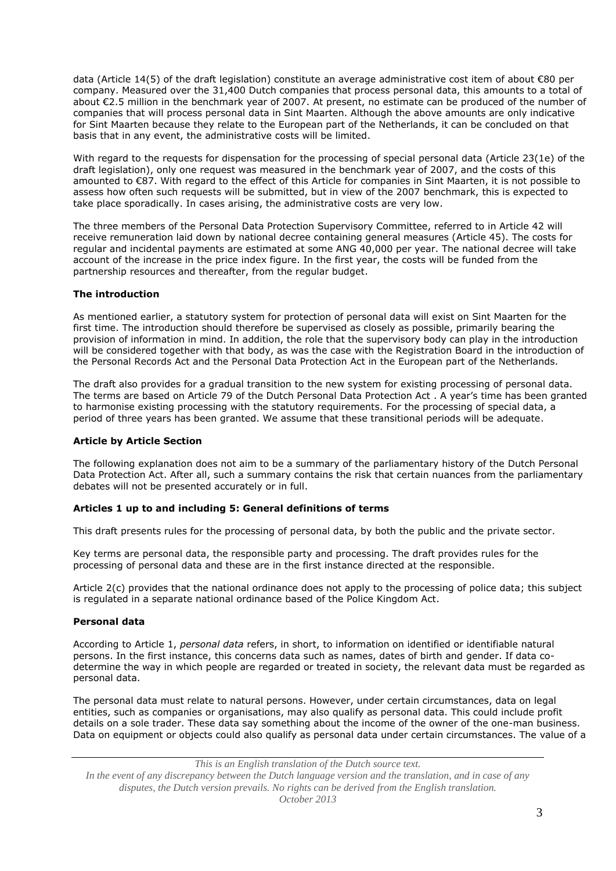data (Article 14(5) of the draft legislation) constitute an average administrative cost item of about €80 per company. Measured over the 31,400 Dutch companies that process personal data, this amounts to a total of about €2.5 million in the benchmark year of 2007. At present, no estimate can be produced of the number of companies that will process personal data in Sint Maarten. Although the above amounts are only indicative for Sint Maarten because they relate to the European part of the Netherlands, it can be concluded on that basis that in any event, the administrative costs will be limited.

With regard to the requests for dispensation for the processing of special personal data (Article 23(1e) of the draft legislation), only one request was measured in the benchmark year of 2007, and the costs of this amounted to €87. With regard to the effect of this Article for companies in Sint Maarten, it is not possible to assess how often such requests will be submitted, but in view of the 2007 benchmark, this is expected to take place sporadically. In cases arising, the administrative costs are very low.

The three members of the Personal Data Protection Supervisory Committee, referred to in Article 42 will receive remuneration laid down by national decree containing general measures (Article 45). The costs for regular and incidental payments are estimated at some ANG 40,000 per year. The national decree will take account of the increase in the price index figure. In the first year, the costs will be funded from the partnership resources and thereafter, from the regular budget.

# **The introduction**

As mentioned earlier, a statutory system for protection of personal data will exist on Sint Maarten for the first time. The introduction should therefore be supervised as closely as possible, primarily bearing the provision of information in mind. In addition, the role that the supervisory body can play in the introduction will be considered together with that body, as was the case with the Registration Board in the introduction of the Personal Records Act and the Personal Data Protection Act in the European part of the Netherlands.

The draft also provides for a gradual transition to the new system for existing processing of personal data. The terms are based on Article 79 of the Dutch Personal Data Protection Act . A year's time has been granted to harmonise existing processing with the statutory requirements. For the processing of special data, a period of three years has been granted. We assume that these transitional periods will be adequate.

### **Article by Article Section**

The following explanation does not aim to be a summary of the parliamentary history of the Dutch Personal Data Protection Act. After all, such a summary contains the risk that certain nuances from the parliamentary debates will not be presented accurately or in full.

### **Articles 1 up to and including 5: General definitions of terms**

This draft presents rules for the processing of personal data, by both the public and the private sector.

Key terms are personal data, the responsible party and processing. The draft provides rules for the processing of personal data and these are in the first instance directed at the responsible.

Article 2(c) provides that the national ordinance does not apply to the processing of police data; this subject is regulated in a separate national ordinance based of the Police Kingdom Act.

### **Personal data**

According to Article 1, *personal data* refers, in short, to information on identified or identifiable natural persons. In the first instance, this concerns data such as names, dates of birth and gender. If data codetermine the way in which people are regarded or treated in society, the relevant data must be regarded as personal data.

The personal data must relate to natural persons. However, under certain circumstances, data on legal entities, such as companies or organisations, may also qualify as personal data. This could include profit details on a sole trader. These data say something about the income of the owner of the one-man business. Data on equipment or objects could also qualify as personal data under certain circumstances. The value of a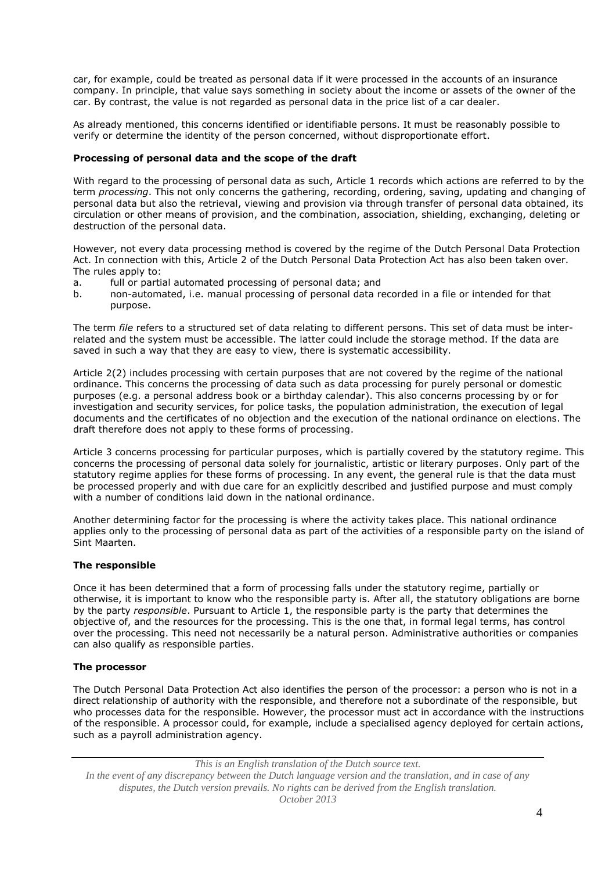car, for example, could be treated as personal data if it were processed in the accounts of an insurance company. In principle, that value says something in society about the income or assets of the owner of the car. By contrast, the value is not regarded as personal data in the price list of a car dealer.

As already mentioned, this concerns identified or identifiable persons. It must be reasonably possible to verify or determine the identity of the person concerned, without disproportionate effort.

## **Processing of personal data and the scope of the draft**

With regard to the processing of personal data as such, Article 1 records which actions are referred to by the term *processing*. This not only concerns the gathering, recording, ordering, saving, updating and changing of personal data but also the retrieval, viewing and provision via through transfer of personal data obtained, its circulation or other means of provision, and the combination, association, shielding, exchanging, deleting or destruction of the personal data.

However, not every data processing method is covered by the regime of the Dutch Personal Data Protection Act. In connection with this, Article 2 of the Dutch Personal Data Protection Act has also been taken over. The rules apply to:

- a. full or partial automated processing of personal data; and
- b. non-automated, i.e. manual processing of personal data recorded in a file or intended for that purpose.

The term *file* refers to a structured set of data relating to different persons. This set of data must be interrelated and the system must be accessible. The latter could include the storage method. If the data are saved in such a way that they are easy to view, there is systematic accessibility.

Article 2(2) includes processing with certain purposes that are not covered by the regime of the national ordinance. This concerns the processing of data such as data processing for purely personal or domestic purposes (e.g. a personal address book or a birthday calendar). This also concerns processing by or for investigation and security services, for police tasks, the population administration, the execution of legal documents and the certificates of no objection and the execution of the national ordinance on elections. The draft therefore does not apply to these forms of processing.

Article 3 concerns processing for particular purposes, which is partially covered by the statutory regime. This concerns the processing of personal data solely for journalistic, artistic or literary purposes. Only part of the statutory regime applies for these forms of processing. In any event, the general rule is that the data must be processed properly and with due care for an explicitly described and justified purpose and must comply with a number of conditions laid down in the national ordinance.

Another determining factor for the processing is where the activity takes place. This national ordinance applies only to the processing of personal data as part of the activities of a responsible party on the island of Sint Maarten.

# **The responsible**

Once it has been determined that a form of processing falls under the statutory regime, partially or otherwise, it is important to know who the responsible party is. After all, the statutory obligations are borne by the party *responsible*. Pursuant to Article 1, the responsible party is the party that determines the objective of, and the resources for the processing. This is the one that, in formal legal terms, has control over the processing. This need not necessarily be a natural person. Administrative authorities or companies can also qualify as responsible parties.

### **The processor**

The Dutch Personal Data Protection Act also identifies the person of the processor: a person who is not in a direct relationship of authority with the responsible, and therefore not a subordinate of the responsible, but who processes data for the responsible. However, the processor must act in accordance with the instructions of the responsible. A processor could, for example, include a specialised agency deployed for certain actions, such as a payroll administration agency.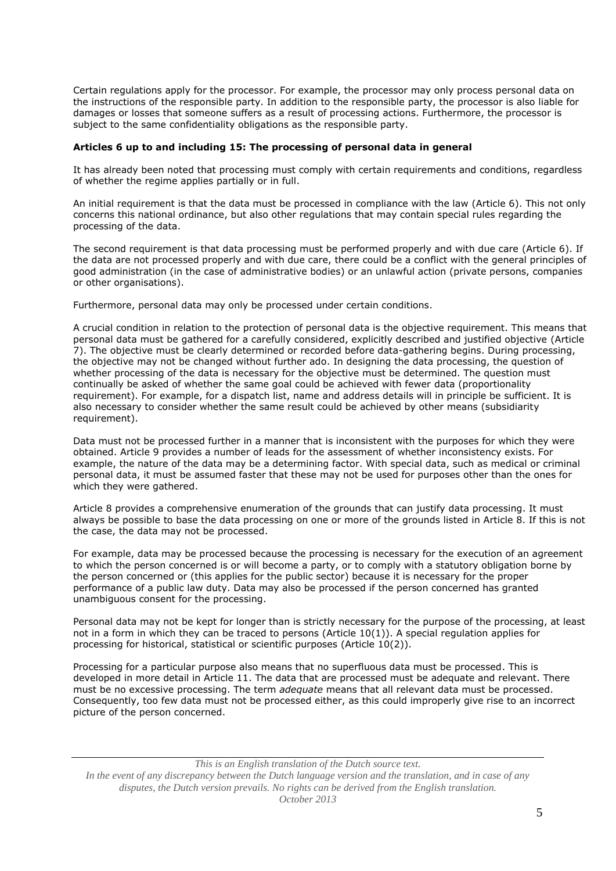Certain regulations apply for the processor. For example, the processor may only process personal data on the instructions of the responsible party. In addition to the responsible party, the processor is also liable for damages or losses that someone suffers as a result of processing actions. Furthermore, the processor is subject to the same confidentiality obligations as the responsible party.

### **Articles 6 up to and including 15: The processing of personal data in general**

It has already been noted that processing must comply with certain requirements and conditions, regardless of whether the regime applies partially or in full.

An initial requirement is that the data must be processed in compliance with the law (Article 6). This not only concerns this national ordinance, but also other regulations that may contain special rules regarding the processing of the data.

The second requirement is that data processing must be performed properly and with due care (Article 6). If the data are not processed properly and with due care, there could be a conflict with the general principles of good administration (in the case of administrative bodies) or an unlawful action (private persons, companies or other organisations).

Furthermore, personal data may only be processed under certain conditions.

A crucial condition in relation to the protection of personal data is the objective requirement. This means that personal data must be gathered for a carefully considered, explicitly described and justified objective (Article 7). The objective must be clearly determined or recorded before data-gathering begins. During processing, the objective may not be changed without further ado. In designing the data processing, the question of whether processing of the data is necessary for the objective must be determined. The question must continually be asked of whether the same goal could be achieved with fewer data (proportionality requirement). For example, for a dispatch list, name and address details will in principle be sufficient. It is also necessary to consider whether the same result could be achieved by other means (subsidiarity requirement).

Data must not be processed further in a manner that is inconsistent with the purposes for which they were obtained. Article 9 provides a number of leads for the assessment of whether inconsistency exists. For example, the nature of the data may be a determining factor. With special data, such as medical or criminal personal data, it must be assumed faster that these may not be used for purposes other than the ones for which they were gathered.

Article 8 provides a comprehensive enumeration of the grounds that can justify data processing. It must always be possible to base the data processing on one or more of the grounds listed in Article 8. If this is not the case, the data may not be processed.

For example, data may be processed because the processing is necessary for the execution of an agreement to which the person concerned is or will become a party, or to comply with a statutory obligation borne by the person concerned or (this applies for the public sector) because it is necessary for the proper performance of a public law duty. Data may also be processed if the person concerned has granted unambiguous consent for the processing.

Personal data may not be kept for longer than is strictly necessary for the purpose of the processing, at least not in a form in which they can be traced to persons (Article 10(1)). A special regulation applies for processing for historical, statistical or scientific purposes (Article 10(2)).

Processing for a particular purpose also means that no superfluous data must be processed. This is developed in more detail in Article 11. The data that are processed must be adequate and relevant. There must be no excessive processing. The term *adequate* means that all relevant data must be processed. Consequently, too few data must not be processed either, as this could improperly give rise to an incorrect picture of the person concerned.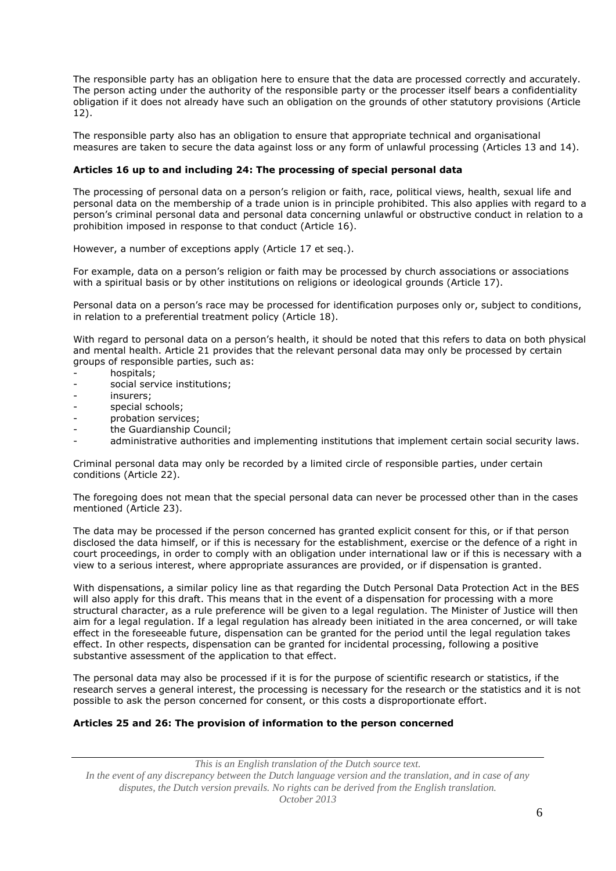The responsible party has an obligation here to ensure that the data are processed correctly and accurately. The person acting under the authority of the responsible party or the processer itself bears a confidentiality obligation if it does not already have such an obligation on the grounds of other statutory provisions (Article 12).

The responsible party also has an obligation to ensure that appropriate technical and organisational measures are taken to secure the data against loss or any form of unlawful processing (Articles 13 and 14).

## **Articles 16 up to and including 24: The processing of special personal data**

The processing of personal data on a person's religion or faith, race, political views, health, sexual life and personal data on the membership of a trade union is in principle prohibited. This also applies with regard to a person's criminal personal data and personal data concerning unlawful or obstructive conduct in relation to a prohibition imposed in response to that conduct (Article 16).

However, a number of exceptions apply (Article 17 et seq.).

For example, data on a person's religion or faith may be processed by church associations or associations with a spiritual basis or by other institutions on religions or ideological grounds (Article 17).

Personal data on a person's race may be processed for identification purposes only or, subject to conditions, in relation to a preferential treatment policy (Article 18).

With regard to personal data on a person's health, it should be noted that this refers to data on both physical and mental health. Article 21 provides that the relevant personal data may only be processed by certain groups of responsible parties, such as:

- hospitals;
- social service institutions;
- insurers:
- special schools;
- probation services;
- the Guardianship Council;
- administrative authorities and implementing institutions that implement certain social security laws.

Criminal personal data may only be recorded by a limited circle of responsible parties, under certain conditions (Article 22).

The foregoing does not mean that the special personal data can never be processed other than in the cases mentioned (Article 23).

The data may be processed if the person concerned has granted explicit consent for this, or if that person disclosed the data himself, or if this is necessary for the establishment, exercise or the defence of a right in court proceedings, in order to comply with an obligation under international law or if this is necessary with a view to a serious interest, where appropriate assurances are provided, or if dispensation is granted.

With dispensations, a similar policy line as that regarding the Dutch Personal Data Protection Act in the BES will also apply for this draft. This means that in the event of a dispensation for processing with a more structural character, as a rule preference will be given to a legal regulation. The Minister of Justice will then aim for a legal regulation. If a legal regulation has already been initiated in the area concerned, or will take effect in the foreseeable future, dispensation can be granted for the period until the legal regulation takes effect. In other respects, dispensation can be granted for incidental processing, following a positive substantive assessment of the application to that effect.

The personal data may also be processed if it is for the purpose of scientific research or statistics, if the research serves a general interest, the processing is necessary for the research or the statistics and it is not possible to ask the person concerned for consent, or this costs a disproportionate effort.

# **Articles 25 and 26: The provision of information to the person concerned**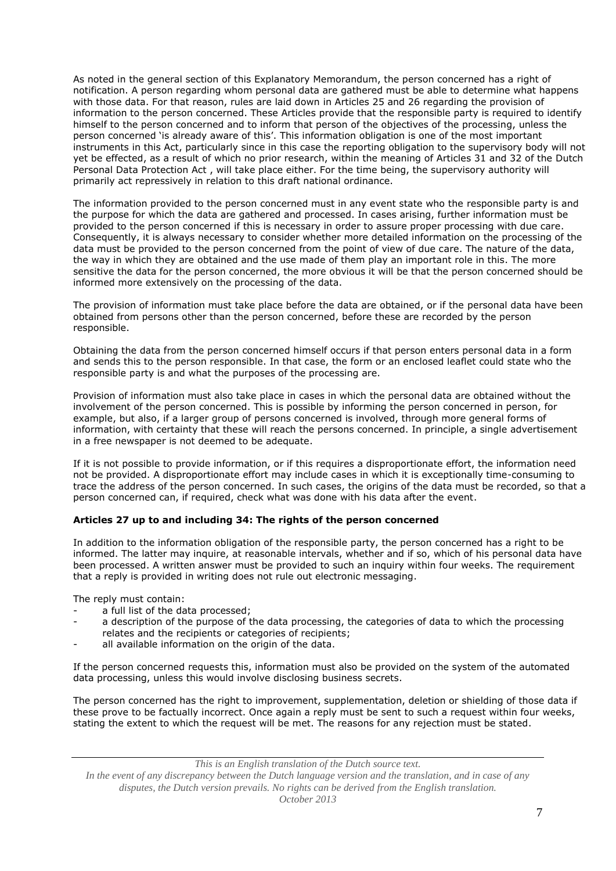As noted in the general section of this Explanatory Memorandum, the person concerned has a right of notification. A person regarding whom personal data are gathered must be able to determine what happens with those data. For that reason, rules are laid down in Articles 25 and 26 regarding the provision of information to the person concerned. These Articles provide that the responsible party is required to identify himself to the person concerned and to inform that person of the objectives of the processing, unless the person concerned 'is already aware of this'. This information obligation is one of the most important instruments in this Act, particularly since in this case the reporting obligation to the supervisory body will not yet be effected, as a result of which no prior research, within the meaning of Articles 31 and 32 of the Dutch Personal Data Protection Act , will take place either. For the time being, the supervisory authority will primarily act repressively in relation to this draft national ordinance.

The information provided to the person concerned must in any event state who the responsible party is and the purpose for which the data are gathered and processed. In cases arising, further information must be provided to the person concerned if this is necessary in order to assure proper processing with due care. Consequently, it is always necessary to consider whether more detailed information on the processing of the data must be provided to the person concerned from the point of view of due care. The nature of the data, the way in which they are obtained and the use made of them play an important role in this. The more sensitive the data for the person concerned, the more obvious it will be that the person concerned should be informed more extensively on the processing of the data.

The provision of information must take place before the data are obtained, or if the personal data have been obtained from persons other than the person concerned, before these are recorded by the person responsible.

Obtaining the data from the person concerned himself occurs if that person enters personal data in a form and sends this to the person responsible. In that case, the form or an enclosed leaflet could state who the responsible party is and what the purposes of the processing are.

Provision of information must also take place in cases in which the personal data are obtained without the involvement of the person concerned. This is possible by informing the person concerned in person, for example, but also, if a larger group of persons concerned is involved, through more general forms of information, with certainty that these will reach the persons concerned. In principle, a single advertisement in a free newspaper is not deemed to be adequate.

If it is not possible to provide information, or if this requires a disproportionate effort, the information need not be provided. A disproportionate effort may include cases in which it is exceptionally time-consuming to trace the address of the person concerned. In such cases, the origins of the data must be recorded, so that a person concerned can, if required, check what was done with his data after the event.

# **Articles 27 up to and including 34: The rights of the person concerned**

In addition to the information obligation of the responsible party, the person concerned has a right to be informed. The latter may inquire, at reasonable intervals, whether and if so, which of his personal data have been processed. A written answer must be provided to such an inquiry within four weeks. The requirement that a reply is provided in writing does not rule out electronic messaging.

The reply must contain:

- a full list of the data processed;
- a description of the purpose of the data processing, the categories of data to which the processing relates and the recipients or categories of recipients;
- all available information on the origin of the data.

If the person concerned requests this, information must also be provided on the system of the automated data processing, unless this would involve disclosing business secrets.

The person concerned has the right to improvement, supplementation, deletion or shielding of those data if these prove to be factually incorrect. Once again a reply must be sent to such a request within four weeks, stating the extent to which the request will be met. The reasons for any rejection must be stated.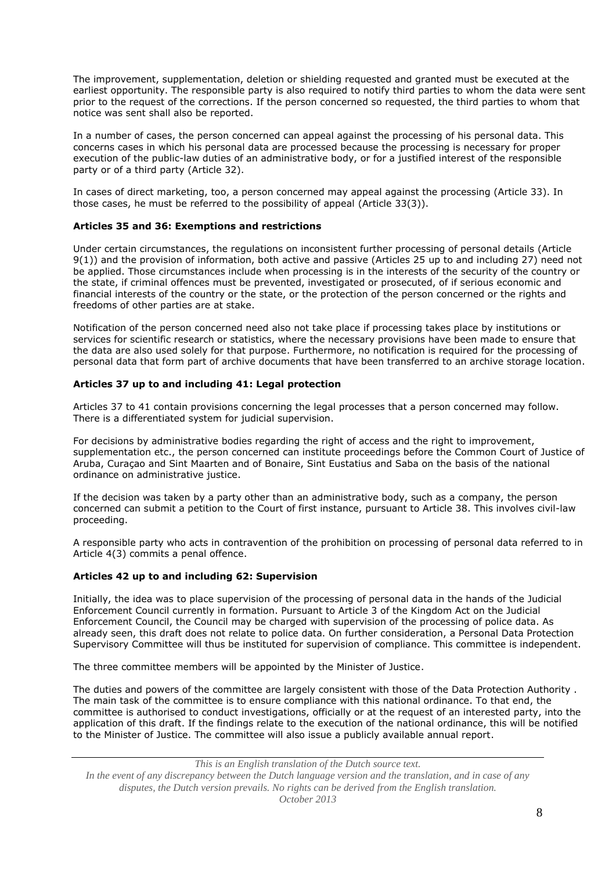The improvement, supplementation, deletion or shielding requested and granted must be executed at the earliest opportunity. The responsible party is also required to notify third parties to whom the data were sent prior to the request of the corrections. If the person concerned so requested, the third parties to whom that notice was sent shall also be reported.

In a number of cases, the person concerned can appeal against the processing of his personal data. This concerns cases in which his personal data are processed because the processing is necessary for proper execution of the public-law duties of an administrative body, or for a justified interest of the responsible party or of a third party (Article 32).

In cases of direct marketing, too, a person concerned may appeal against the processing (Article 33). In those cases, he must be referred to the possibility of appeal (Article 33(3)).

## **Articles 35 and 36: Exemptions and restrictions**

Under certain circumstances, the regulations on inconsistent further processing of personal details (Article 9(1)) and the provision of information, both active and passive (Articles 25 up to and including 27) need not be applied. Those circumstances include when processing is in the interests of the security of the country or the state, if criminal offences must be prevented, investigated or prosecuted, of if serious economic and financial interests of the country or the state, or the protection of the person concerned or the rights and freedoms of other parties are at stake.

Notification of the person concerned need also not take place if processing takes place by institutions or services for scientific research or statistics, where the necessary provisions have been made to ensure that the data are also used solely for that purpose. Furthermore, no notification is required for the processing of personal data that form part of archive documents that have been transferred to an archive storage location.

### **Articles 37 up to and including 41: Legal protection**

Articles 37 to 41 contain provisions concerning the legal processes that a person concerned may follow. There is a differentiated system for judicial supervision.

For decisions by administrative bodies regarding the right of access and the right to improvement, supplementation etc., the person concerned can institute proceedings before the Common Court of Justice of Aruba, Curaçao and Sint Maarten and of Bonaire, Sint Eustatius and Saba on the basis of the national ordinance on administrative justice.

If the decision was taken by a party other than an administrative body, such as a company, the person concerned can submit a petition to the Court of first instance, pursuant to Article 38. This involves civil-law proceeding.

A responsible party who acts in contravention of the prohibition on processing of personal data referred to in Article 4(3) commits a penal offence.

### **Articles 42 up to and including 62: Supervision**

Initially, the idea was to place supervision of the processing of personal data in the hands of the Judicial Enforcement Council currently in formation. Pursuant to Article 3 of the Kingdom Act on the Judicial Enforcement Council, the Council may be charged with supervision of the processing of police data. As already seen, this draft does not relate to police data. On further consideration, a Personal Data Protection Supervisory Committee will thus be instituted for supervision of compliance. This committee is independent.

The three committee members will be appointed by the Minister of Justice.

The duties and powers of the committee are largely consistent with those of the Data Protection Authority . The main task of the committee is to ensure compliance with this national ordinance. To that end, the committee is authorised to conduct investigations, officially or at the request of an interested party, into the application of this draft. If the findings relate to the execution of the national ordinance, this will be notified to the Minister of Justice. The committee will also issue a publicly available annual report.